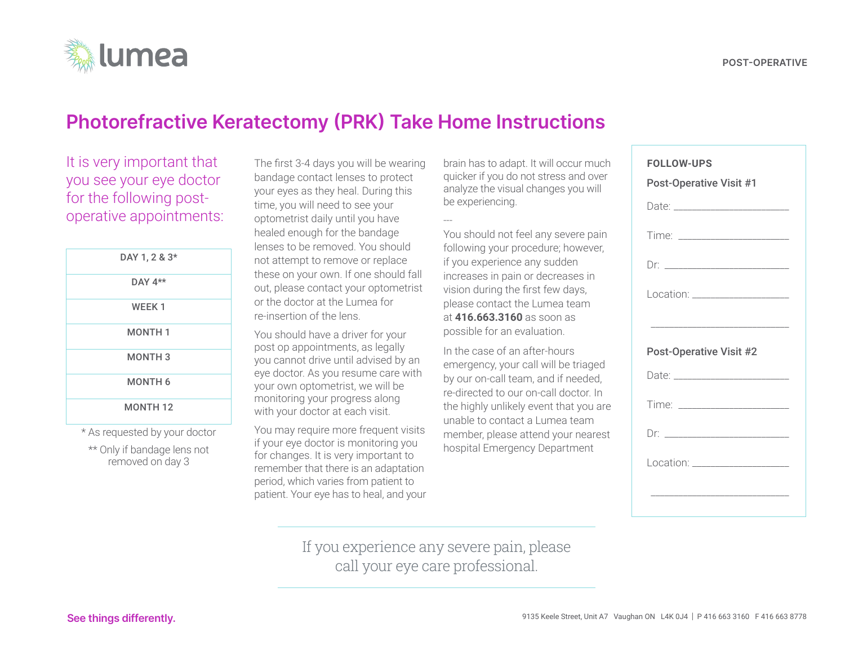# **Photorefractive Keratectomy (PRK) Take Home Instructions**

It is very important that you see your eye doctor for the following postoperative appointments:

| DAY 1, 2 & 3*  |
|----------------|
| DAY $4**$      |
| <b>WEEK1</b>   |
| <b>MONTH1</b>  |
| <b>MONTH3</b>  |
| <b>MONTH 6</b> |
| <b>MONTH12</b> |

\* As requested by your doctor

\*\* Only if bandage lens not removed on day 3

The first 3-4 days you will be wearing bandage contact lenses to protect your eyes as they heal. During this time, you will need to see your optometrist daily until you have healed enough for the bandage lenses to be removed. You should not attempt to remove or replace these on your own. If one should fall out, please contact your optometrist or the doctor at the Lumea for re-insertion of the lens.

You should have a driver for your post op appointments, as legally you cannot drive until advised by an eye doctor. As you resume care with your own optometrist, we will be monitoring your progress along with your doctor at each visit.

You may require more frequent visits if your eye doctor is monitoring you for changes. It is very important to remember that there is an adaptation period, which varies from patient to patient. Your eye has to heal, and your brain has to adapt. It will occur much quicker if you do not stress and over analyze the visual changes you will be experiencing.

---

You should not feel any severe pain following your procedure; however, if you experience any sudden increases in pain or decreases in vision during the first few days, please contact the Lumea team at **416.663.3160** as soon as possible for an evaluation.

In the case of an after-hours emergency, your call will be triaged by our on-call team, and if needed, re-directed to our on-call doctor. In the highly unlikely event that you are unable to contact a Lumea team member, please attend your nearest hospital Emergency Department

| <b>FOLLOW-UPS</b><br><b>Post-Operative Visit #1</b> |  |
|-----------------------------------------------------|--|
|                                                     |  |
|                                                     |  |
|                                                     |  |
| Location: ____________________                      |  |
|                                                     |  |
| <b>Post-Operative Visit #2</b>                      |  |
|                                                     |  |
|                                                     |  |
|                                                     |  |
|                                                     |  |
| Location: ____________________                      |  |

If you experience any severe pain, please call your eye care professional.

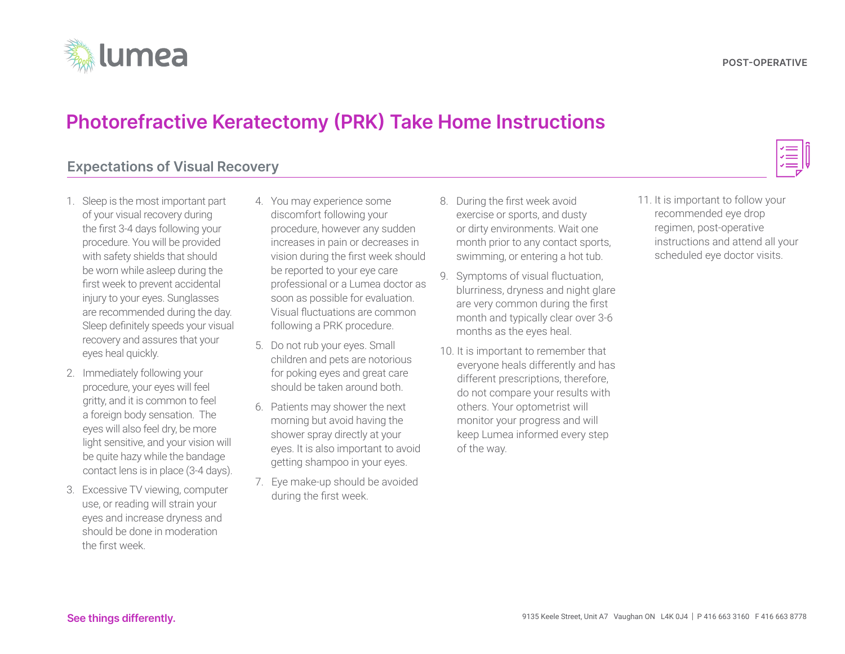

## **Photorefractive Keratectomy (PRK) Take Home Instructions**

### **Expectations of Visual Recovery**

- 1. Sleep is the most important part of your visual recovery during the first 3-4 days following your procedure. You will be provided with safety shields that should be worn while asleep during the first week to prevent accidental injury to your eyes. Sunglasses are recommended during the day. Sleep definitely speeds your visual recovery and assures that your eyes heal quickly.
- 2. Immediately following your procedure, your eyes will feel gritty, and it is common to feel a foreign body sensation. The eyes will also feel dry, be more light sensitive, and your vision will be quite hazy while the bandage contact lens is in place (3-4 days).
- 3. Excessive TV viewing, computer use, or reading will strain your eyes and increase dryness and should be done in moderation the first week.
- 4. You may experience some discomfort following your procedure, however any sudden increases in pain or decreases in vision during the first week should be reported to your eye care professional or a Lumea doctor as soon as possible for evaluation. Visual fluctuations are common following a PRK procedure.
- 5. Do not rub your eyes. Small children and pets are notorious for poking eyes and great care should be taken around both.
- 6. Patients may shower the next morning but avoid having the shower spray directly at your eyes. It is also important to avoid getting shampoo in your eyes.
- 7. Eye make-up should be avoided during the first week.
- 8. During the first week avoid exercise or sports, and dusty or dirty environments. Wait one month prior to any contact sports, swimming, or entering a hot tub.
- 9. Symptoms of visual fluctuation, blurriness, dryness and night glare are very common during the first month and typically clear over 3-6 months as the eyes heal.
- 10. It is important to remember that everyone heals differently and has different prescriptions, therefore, do not compare your results with others. Your optometrist will monitor your progress and will keep Lumea informed every step of the way.

11. It is important to follow your recommended eye drop regimen, post-operative instructions and attend all your scheduled eye doctor visits.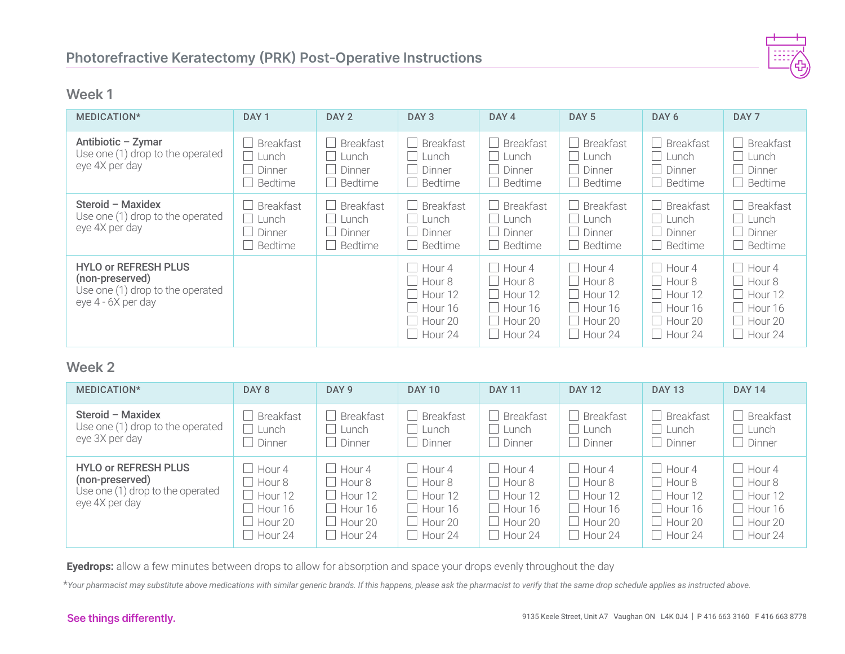

### **Week 1**

| MEDICATION*                                                                                              | DAY <sub>1</sub>                                                                   | DAY <sub>2</sub>                                      | DAY <sub>3</sub>                                             | DAY <sub>4</sub>                                                                         | DAY <sub>5</sub>                                                                                                                | DAY <sub>6</sub>                                             | DAY <sub>7</sub>                                                           |
|----------------------------------------------------------------------------------------------------------|------------------------------------------------------------------------------------|-------------------------------------------------------|--------------------------------------------------------------|------------------------------------------------------------------------------------------|---------------------------------------------------------------------------------------------------------------------------------|--------------------------------------------------------------|----------------------------------------------------------------------------|
| Antibiotic - Zymar<br>Use one (1) drop to the operated<br>eye 4X per day                                 | <b>Breakfast</b><br>$\Box$<br>Lunch<br>Dinner<br>$\mathbf{L}$<br>Bedtime<br>$\Box$ | <b>Breakfast</b><br>Lunch<br>Dinner<br>Bedtime        | <b>Breakfast</b><br>Lunch<br>Dinner<br>Bedtime               | <b>Breakfast</b><br>Lunch<br>Dinner<br>Bedtime                                           | $\Box$ Breakfast<br>$\Box$<br>Lunch<br>Dinner<br>$\Box$<br>$\Box$ Bedtime                                                       | <b>Breakfast</b><br>Lunch<br><b>Dinner</b><br>Bedtime        | <b>Breakfast</b><br>Lunch<br>Dinner<br>Bedtime                             |
| Steroid - Maxidex<br>Use one (1) drop to the operated<br>eye 4X per day                                  | $\Box$ Breakfast<br>Lunch<br>Dinner<br>$\Box$ Bedtime                              | <b>Breakfast</b><br>Lunch<br>Dinner<br><b>Bedtime</b> | <b>Breakfast</b><br>Lunch<br>Dinner<br>Bedtime               | <b>Breakfast</b><br>Lunch<br>Dinner<br>Bedtime                                           | $\Box$ Breakfast<br>$\Box$<br>Lunch<br>Dinner<br>$\Box$<br>$\Box$ Bedtime                                                       | <b>Breakfast</b><br>Lunch<br>Dinner<br>Bedtime               | <b>Breakfast</b><br>Lunch<br>Dinner<br>Bedtime                             |
| <b>HYLO or REFRESH PLUS</b><br>(non-preserved)<br>Use one (1) drop to the operated<br>eye 4 - 6X per day |                                                                                    |                                                       | Hour 4<br>Hour 8<br>Hour 12<br>Hour 16<br>Hour 20<br>Hour 24 | Hour 4<br>$\Box$ Hour 8<br>$\Box$ Hour 12<br>$\Box$ Hour 16<br>$\Box$ Hour 20<br>Hour 24 | $\Box$<br>Hour 4<br>$\Box$ Hour 8<br>$\Box$<br>Hour 12<br>Hour 16<br>$\mathbb{R}$<br>Hour 20<br>$\mathbb{R}$<br>$\vert$ Hour 24 | Hour 4<br>Hour 8<br>Hour 12<br>Hour 16<br>Hour 20<br>Hour 24 | Hour 4<br>Hour 8<br>Hour 12<br>Hour 16<br>$\Box$ Hour 20<br>$\Box$ Hour 24 |

### **Week 2**

| MEDICATION*                                                                                          | DAY 8                                                                                    | DAY <sub>9</sub>                                             | <b>DAY 10</b>                                                                                          | <b>DAY 11</b>                                                                                      | <b>DAY 12</b>                                                                                          | <b>DAY 13</b>                                                                                          | <b>DAY 14</b>                                                        |
|------------------------------------------------------------------------------------------------------|------------------------------------------------------------------------------------------|--------------------------------------------------------------|--------------------------------------------------------------------------------------------------------|----------------------------------------------------------------------------------------------------|--------------------------------------------------------------------------------------------------------|--------------------------------------------------------------------------------------------------------|----------------------------------------------------------------------|
| Steroid - Maxidex<br>Use one (1) drop to the operated<br>eye 3X per day                              | <b>Breakfast</b><br>Lunch<br>Dinner                                                      | Breakfast<br>Lunch<br>Dinner                                 | <b>Breakfast</b><br>$\perp$ Lunch<br>$\Box$ Dinner                                                     | $\Box$ Breakfast<br>$\perp$ Lunch<br>$\Box$ Dinner                                                 | $\Box$ Breakfast<br>Lunch<br>$\Box$<br>$\Box$ Dinner                                                   | <b>Breakfast</b><br>$\Box$ Lunch<br>$\Box$ Dinner                                                      | <b>Breakfast</b><br>Lunch<br>Dinner                                  |
| <b>HYLO or REFRESH PLUS</b><br>(non-preserved)<br>Use one (1) drop to the operated<br>eye 4X per day | Hour 4<br>$\Box$ Hour 8<br>Hour 12<br>$\Box$ Hour 16<br>$\Box$ Hour 20<br>$\Box$ Hour 24 | Hour 4<br>Hour 8<br>Hour 12<br>Hour 16<br>Hour 20<br>Hour 24 | $\Box$ Hour 4<br>$\Box$ Hour 8<br>$\Box$ Hour 12<br>$\Box$ Hour 16<br>$\Box$ Hour 20<br>$\Box$ Hour 24 | $\Box$ Hour 4<br>$\Box$ Hour 8<br>$\Box$ Hour 12<br>$\Box$ Hour 16<br>$\Box$ Hour 20<br>$H$ our 24 | $\Box$ Hour 4<br>$\Box$ Hour 8<br>$\Box$ Hour 12<br>$\Box$ Hour 16<br>$\Box$ Hour 20<br>$\Box$ Hour 24 | $\Box$ Hour 4<br>$\Box$ Hour 8<br>$\Box$ Hour 12<br>$\Box$ Hour 16<br>$\Box$ Hour 20<br>$\Box$ Hour 24 | $\perp$ Hour 4<br>Hour 8<br>Hour 12<br>Hour 16<br>Hour 20<br>Hour 24 |

**Eyedrops:** allow a few minutes between drops to allow for absorption and space your drops evenly throughout the day

\**Your pharmacist may substitute above medications with similar generic brands. If this happens, please ask the pharmacist to verify that the same drop schedule applies as instructed above.*